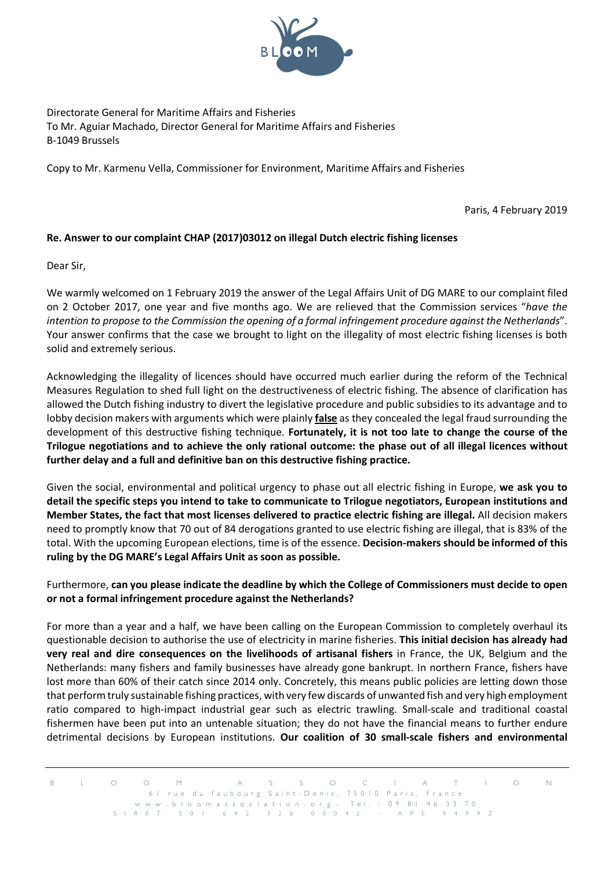

Directorate General for Maritime Affairs and Fisheries To Mr. Aguiar Machado, Director General for Maritime Affairs and Fisheries B-1049 Brussels

Copy to Mr. Karmenu Vella, Commissioner for Environment, Maritime Affairs and Fisheries

Paris, 4 February 2019

## **Re. Answer to our complaint CHAP (2017)03012 on illegal Dutch electric fishing licenses**

Dear Sir,

We warmly welcomed on 1 February 2019 the answer of the Legal Affairs Unit of DG MARE to our complaint filed on 2 October 2017, one year and five months ago. We are relieved that the Commission services "*have the intention to propose to the Commission the opening of a formal infringement procedure against the Netherlands*". Your answer confirms that the case we brought to light on the illegality of most electric fishing licenses is both solid and extremely serious.

Acknowledging the illegality of licences should have occurred much earlier during the reform of the Technical Measures Regulation to shed full light on the destructiveness of electric fishing. The absence of clarification has allowed the Dutch fishing industry to divert the legislative procedure and public subsidies to its advantage and to lobby decision makers with arguments which were plainly **false** as they concealed the legal fraud surrounding the development of this destructive fishing technique. **Fortunately, it is not too late to change the course of the Trilogue negotiations and to achieve the only rational outcome: the phase out of all illegal licences without further delay and a full and definitive ban on this destructive fishing practice.** 

Given the social, environmental and political urgency to phase out all electric fishing in Europe, **we ask you to detail the specific steps you intend to take to communicate to Trilogue negotiators, European institutions and Member States, the fact that most licenses delivered to practice electric fishing are illegal.** All decision makers need to promptly know that 70 out of 84 derogations granted to use electric fishing are illegal, that is 83% of the total. With the upcoming European elections, time is of the essence. **Decision-makers should be informed of this ruling by the DG MARE's Legal Affairs Unit as soon as possible.** 

## Furthermore, **can you please indicate the deadline by which the College of Commissioners must decide to open or not a formal infringement procedure against the Netherlands?**

For more than a year and a half, we have been calling on the European Commission to completely overhaul its questionable decision to authorise the use of electricity in marine fisheries. **This initial decision has already had very real and dire consequences on the livelihoods of artisanal fishers** in France, the UK, Belgium and the Netherlands: many fishers and family businesses have already gone bankrupt. In northern France, fishers have lost more than 60% of their catch since 2014 only. Concretely, this means public policies are letting down those that perform truly sustainable fishing practices, with very few discards of unwanted fish and very high employment ratio compared to high-impact industrial gear such as electric trawling. Small-scale and traditional coastal fishermen have been put into an untenable situation; they do not have the financial means to further endure detrimental decisions by European institutions. **Our coalition of 30 small-scale fishers and environmental** 

B L O O M A S S O C I A T I O N 6 1 rue du faubourg Saint-Denis, 750 10 Paris, France www.bloomassociation.org - Tel. : 09 81 46 33 70 SIRET 501 642 326 000 4 2 - APE 9499Z